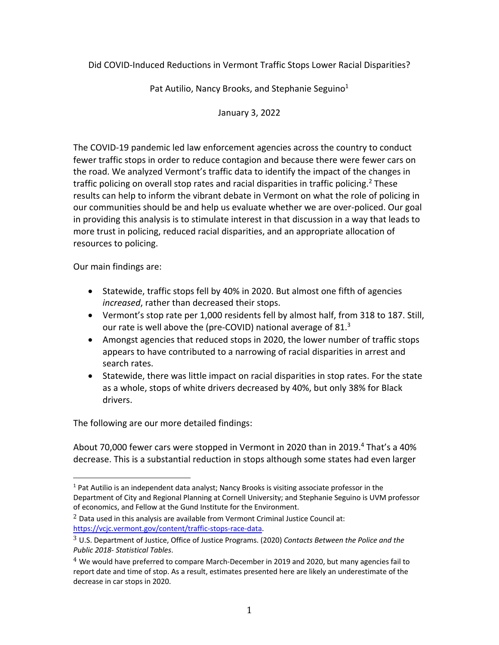Did COVID-Induced Reductions in Vermont Traffic Stops Lower Racial Disparities?

Pat Autilio, Nancy Brooks, and Stephanie Seguino<sup>1</sup>

January 3, 2022

The COVID-19 pandemic led law enforcement agencies across the country to conduct fewer traffic stops in order to reduce contagion and because there were fewer cars on the road. We analyzed Vermont's traffic data to identify the impact of the changes in traffic policing on overall stop rates and racial disparities in traffic policing.<sup>2</sup> These results can help to inform the vibrant debate in Vermont on what the role of policing in our communities should be and help us evaluate whether we are over-policed. Our goal in providing this analysis is to stimulate interest in that discussion in a way that leads to more trust in policing, reduced racial disparities, and an appropriate allocation of resources to policing.

Our main findings are:

- Statewide, traffic stops fell by 40% in 2020. But almost one fifth of agencies *increased*, rather than decreased their stops.
- Vermont's stop rate per 1,000 residents fell by almost half, from 318 to 187. Still, our rate is well above the (pre-COVID) national average of 81.3
- Amongst agencies that reduced stops in 2020, the lower number of traffic stops appears to have contributed to a narrowing of racial disparities in arrest and search rates.
- Statewide, there was little impact on racial disparities in stop rates. For the state as a whole, stops of white drivers decreased by 40%, but only 38% for Black drivers.

The following are our more detailed findings:

About 70,000 fewer cars were stopped in Vermont in 2020 than in 2019.<sup>4</sup> That's a 40% decrease. This is a substantial reduction in stops although some states had even larger

 $<sup>1</sup>$  Pat Autilio is an independent data analyst; Nancy Brooks is visiting associate professor in the</sup> Department of City and Regional Planning at Cornell University; and Stephanie Seguino is UVM professor of economics, and Fellow at the Gund Institute for the Environment.

 $2$  Data used in this analysis are available from Vermont Criminal Justice Council at: https://vcjc.vermont.gov/content/traffic-stops-race-data.

<sup>3</sup> U.S. Department of Justice, Office of Justice Programs. (2020) *Contacts Between the Police and the Public 2018- Statistical Tables*.

 $4$  We would have preferred to compare March-December in 2019 and 2020, but many agencies fail to report date and time of stop. As a result, estimates presented here are likely an underestimate of the decrease in car stops in 2020.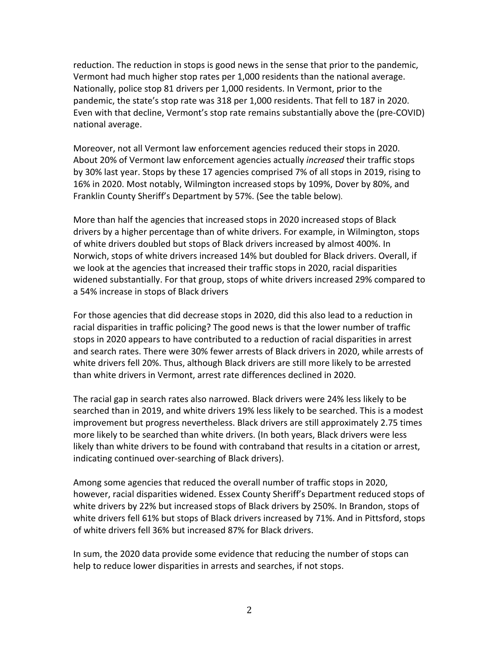reduction. The reduction in stops is good news in the sense that prior to the pandemic, Vermont had much higher stop rates per 1,000 residents than the national average. Nationally, police stop 81 drivers per 1,000 residents. In Vermont, prior to the pandemic, the state's stop rate was 318 per 1,000 residents. That fell to 187 in 2020. Even with that decline, Vermont's stop rate remains substantially above the (pre-COVID) national average.

Moreover, not all Vermont law enforcement agencies reduced their stops in 2020. About 20% of Vermont law enforcement agencies actually *increased* their traffic stops by 30% last year. Stops by these 17 agencies comprised 7% of all stops in 2019, rising to 16% in 2020. Most notably, Wilmington increased stops by 109%, Dover by 80%, and Franklin County Sheriff's Department by 57%. (See the table below).

More than half the agencies that increased stops in 2020 increased stops of Black drivers by a higher percentage than of white drivers. For example, in Wilmington, stops of white drivers doubled but stops of Black drivers increased by almost 400%. In Norwich, stops of white drivers increased 14% but doubled for Black drivers. Overall, if we look at the agencies that increased their traffic stops in 2020, racial disparities widened substantially. For that group, stops of white drivers increased 29% compared to a 54% increase in stops of Black drivers

For those agencies that did decrease stops in 2020, did this also lead to a reduction in racial disparities in traffic policing? The good news is that the lower number of traffic stops in 2020 appears to have contributed to a reduction of racial disparities in arrest and search rates. There were 30% fewer arrests of Black drivers in 2020, while arrests of white drivers fell 20%. Thus, although Black drivers are still more likely to be arrested than white drivers in Vermont, arrest rate differences declined in 2020.

The racial gap in search rates also narrowed. Black drivers were 24% less likely to be searched than in 2019, and white drivers 19% less likely to be searched. This is a modest improvement but progress nevertheless. Black drivers are still approximately 2.75 times more likely to be searched than white drivers. (In both years, Black drivers were less likely than white drivers to be found with contraband that results in a citation or arrest, indicating continued over-searching of Black drivers).

Among some agencies that reduced the overall number of traffic stops in 2020, however, racial disparities widened. Essex County Sheriff's Department reduced stops of white drivers by 22% but increased stops of Black drivers by 250%. In Brandon, stops of white drivers fell 61% but stops of Black drivers increased by 71%. And in Pittsford, stops of white drivers fell 36% but increased 87% for Black drivers.

In sum, the 2020 data provide some evidence that reducing the number of stops can help to reduce lower disparities in arrests and searches, if not stops.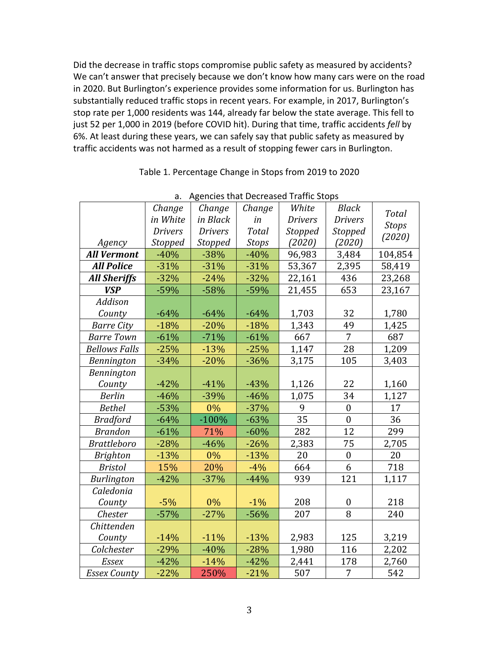Did the decrease in traffic stops compromise public safety as measured by accidents? We can't answer that precisely because we don't know how many cars were on the road in 2020. But Burlington's experience provides some information for us. Burlington has substantially reduced traffic stops in recent years. For example, in 2017, Burlington's stop rate per 1,000 residents was 144, already far below the state average. This fell to just 52 per 1,000 in 2019 (before COVID hit). During that time, traffic accidents *fell* by 6%. At least during these years, we can safely say that public safety as measured by traffic accidents was not harmed as a result of stopping fewer cars in Burlington.

| a.<br>Agencies that Decreased Trainc Stops |                |                |              |                |                  |              |  |
|--------------------------------------------|----------------|----------------|--------------|----------------|------------------|--------------|--|
|                                            | Change         | Change         | Change       | White          | <b>Black</b>     | <b>Total</b> |  |
|                                            | in White       | in Black       | in           | <b>Drivers</b> | <b>Drivers</b>   | <b>Stops</b> |  |
|                                            | <b>Drivers</b> | <b>Drivers</b> | <b>Total</b> | Stopped        | <b>Stopped</b>   | (2020)       |  |
| Agency                                     | Stopped        | <b>Stopped</b> | <b>Stops</b> | (2020)         | (2020)           |              |  |
| <b>All Vermont</b>                         | $-40%$         | $-38%$         | $-40%$       | 96,983         | 3,484            | 104,854      |  |
| <b>All Police</b>                          | $-31%$         | $-31%$         | $-31%$       | 53,367         | 2,395            | 58,419       |  |
| <b>All Sheriffs</b>                        | $-32%$         | $-24%$         | $-32%$       | 22,161         | 436              | 23,268       |  |
| <b>VSP</b>                                 | $-59%$         | $-58%$         | $-59%$       | 21,455         | 653              | 23,167       |  |
| Addison                                    |                |                |              |                |                  |              |  |
| County                                     | $-64%$         | $-64%$         | $-64%$       | 1,703          | 32               | 1,780        |  |
| <b>Barre City</b>                          | $-18%$         | $-20%$         | $-18%$       | 1,343          | 49               | 1,425        |  |
| <b>Barre Town</b>                          | $-61%$         | $-71%$         | $-61%$       | 667            | 7                | 687          |  |
| <b>Bellows Falls</b>                       | $-25%$         | $-13%$         | $-25%$       | 1,147          | 28               | 1,209        |  |
| Bennington                                 | $-34%$         | $-20%$         | $-36%$       | 3,175          | 105              | 3,403        |  |
| Bennington                                 |                |                |              |                |                  |              |  |
| County                                     | $-42%$         | $-41%$         | $-43%$       | 1,126          | 22               | 1,160        |  |
| <b>Berlin</b>                              | $-46%$         | $-39%$         | $-46%$       | 1,075          | 34               | 1,127        |  |
| <b>Bethel</b>                              | $-53%$         | 0%             | $-37%$       | 9              | $\boldsymbol{0}$ | 17           |  |
| <b>Bradford</b>                            | $-64%$         | $-100%$        | $-63%$       | 35             | $\overline{0}$   | 36           |  |
| <b>Brandon</b>                             | $-61%$         | 71%            | $-60%$       | 282            | 12               | 299          |  |
| <b>Brattleboro</b>                         | $-28%$         | $-46%$         | $-26%$       | 2,383          | $\overline{75}$  | 2,705        |  |
| <b>Brighton</b>                            | $-13%$         | 0%             | $-13%$       | 20             | $\boldsymbol{0}$ | 20           |  |
| <b>Bristol</b>                             | 15%            | 20%            | $-4%$        | 664            | 6                | 718          |  |
| <b>Burlington</b>                          | $-42%$         | $-37%$         | $-44%$       | 939            | 121              | 1,117        |  |
| Caledonia                                  |                |                |              |                |                  |              |  |
| County                                     | $-5%$          | 0%             | $-1%$        | 208            | $\overline{0}$   | 218          |  |
| Chester                                    | $-57%$         | $-27%$         | $-56%$       | 207            | 8                | 240          |  |
| Chittenden                                 |                |                |              |                |                  |              |  |
| County                                     | $-14%$         | $-11%$         | $-13%$       | 2,983          | 125              | 3,219        |  |
| Colchester                                 | $-29%$         | $-40%$         | $-28%$       | 1,980          | 116              | 2,202        |  |
| <b>Essex</b>                               | $-42%$         | $-14%$         | $-42%$       | 2,441          | 178              | 2,760        |  |
| <b>Essex County</b>                        | $-22%$         | 250%           | $-21%$       | 507            | 7                | 542          |  |

## Table 1. Percentage Change in Stops from 2019 to 2020

a **Agencies that Decreased Traffic Stops**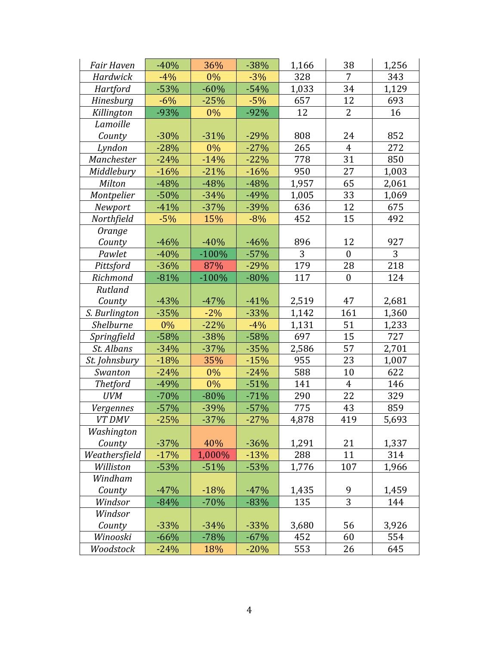| <b>Fair Haven</b> | $-40%$ | 36%     | $-38%$ | 1,166 | 38               | 1,256 |
|-------------------|--------|---------|--------|-------|------------------|-------|
| Hardwick          | $-4%$  | 0%      | $-3%$  | 328   | 7                | 343   |
| Hartford          | $-53%$ | $-60%$  | $-54%$ | 1,033 | 34               | 1,129 |
| Hinesburg         | $-6%$  | $-25%$  | $-5%$  | 657   | 12               | 693   |
| Killington        | $-93%$ | 0%      | $-92%$ | 12    | 2                | 16    |
| Lamoille          |        |         |        |       |                  |       |
| County            | $-30%$ | $-31%$  | $-29%$ | 808   | 24               | 852   |
| Lyndon            | $-28%$ | 0%      | $-27%$ | 265   | $\overline{4}$   | 272   |
| Manchester        | $-24%$ | $-14%$  | $-22%$ | 778   | 31               | 850   |
| Middlebury        | $-16%$ | $-21%$  | $-16%$ | 950   | 27               | 1,003 |
| Milton            | $-48%$ | -48%    | $-48%$ | 1,957 | 65               | 2,061 |
| Montpelier        | $-50%$ | $-34%$  | $-49%$ | 1,005 | 33               | 1,069 |
| Newport           | $-41%$ | $-37%$  | -39%   | 636   | 12               | 675   |
| Northfield        | $-5%$  | 15%     | $-8%$  | 452   | 15               | 492   |
| Orange            |        |         |        |       |                  |       |
| County            | $-46%$ | $-40%$  | $-46%$ | 896   | 12               | 927   |
| Pawlet            | $-40%$ | $-100%$ | $-57%$ | 3     | $\boldsymbol{0}$ | 3     |
| Pittsford         | $-36%$ | 87%     | $-29%$ | 179   | 28               | 218   |
| Richmond          | $-81%$ | $-100%$ | $-80%$ | 117   | $\boldsymbol{0}$ | 124   |
| Rutland           |        |         |        |       |                  |       |
| County            | $-43%$ | $-47%$  | $-41%$ | 2,519 | 47               | 2,681 |
| S. Burlington     | $-35%$ | $-2%$   | $-33%$ | 1,142 | 161              | 1,360 |
| Shelburne         | 0%     | $-22%$  | $-4%$  | 1,131 | 51               | 1,233 |
| Springfield       | $-58%$ | $-38%$  | $-58%$ | 697   | 15               | 727   |
| St. Albans        | $-34%$ | $-37%$  | $-35%$ | 2,586 | 57               | 2,701 |
| St. Johnsbury     | $-18%$ | 35%     | $-15%$ | 955   | 23               | 1,007 |
| Swanton           | $-24%$ | 0%      | $-24%$ | 588   | 10               | 622   |
| <b>Thetford</b>   | $-49%$ | 0%      | $-51%$ | 141   | $\overline{4}$   | 146   |
| <b>UVM</b>        | $-70%$ | $-80%$  | $-71%$ | 290   | 22               | 329   |
| Vergennes         | $-57%$ | $-39%$  | $-57%$ | 775   | 43               | 859   |
| VT DMV            | $-25%$ | $-37%$  | $-27%$ | 4,878 | 419              | 5,693 |
| Washington        |        |         |        |       |                  |       |
| County            | $-37%$ | 40%     | $-36%$ | 1,291 | 21               | 1,337 |
| Weathersfield     | $-17%$ | 1,000%  | $-13%$ | 288   | 11               | 314   |
| Williston         | $-53%$ | $-51%$  | $-53%$ | 1,776 | 107              | 1,966 |
| Windham           |        |         |        |       |                  |       |
| County            | $-47%$ | $-18%$  | $-47%$ | 1,435 | 9                | 1,459 |
| Windsor           | $-84%$ | $-70%$  | $-83%$ | 135   | 3                | 144   |
| Windsor           |        |         |        |       |                  |       |
| County            | $-33%$ | $-34%$  | $-33%$ | 3,680 | 56               | 3,926 |
| Winooski          | $-66%$ | $-78%$  | $-67%$ | 452   | 60               | 554   |
| Woodstock         | $-24%$ | 18%     | $-20%$ | 553   | 26               | 645   |